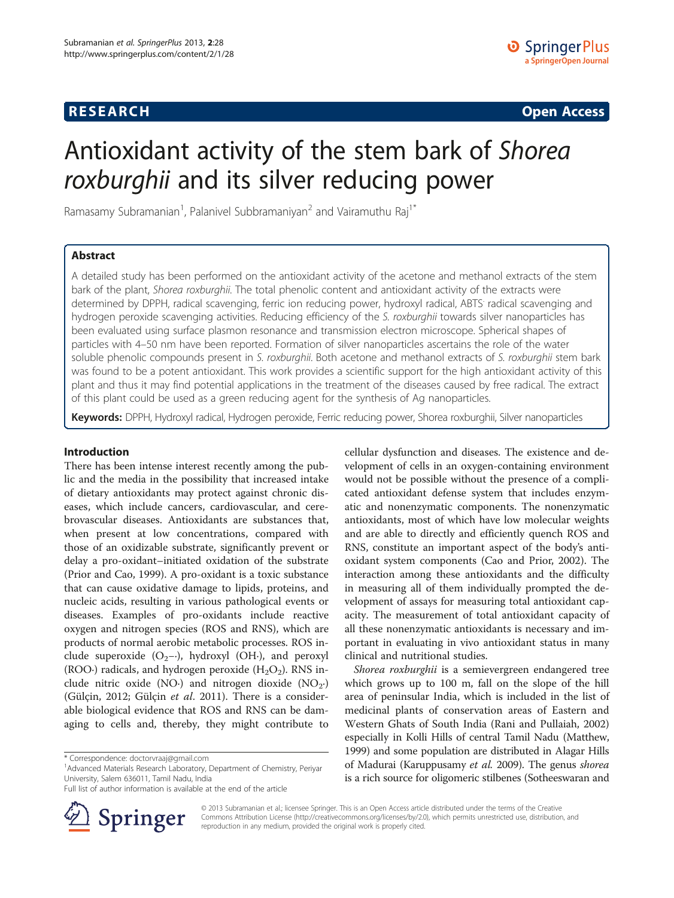## **RESEARCH RESEARCH CONSUMING ACCESS**

# Antioxidant activity of the stem bark of Shorea roxburghii and its silver reducing power

Ramasamy Subramanian<sup>1</sup>, Palanivel Subbramaniyan<sup>2</sup> and Vairamuthu Raj<sup>1\*</sup>

## Abstract

A detailed study has been performed on the antioxidant activity of the acetone and methanol extracts of the stem bark of the plant, Shorea roxburghii. The total phenolic content and antioxidant activity of the extracts were determined by DPPH, radical scavenging, ferric ion reducing power, hydroxyl radical, ABTS<sup>.</sup> radical scavenging and hydrogen peroxide scavenging activities. Reducing efficiency of the S. roxburghii towards silver nanoparticles has been evaluated using surface plasmon resonance and transmission electron microscope. Spherical shapes of particles with 4–50 nm have been reported. Formation of silver nanoparticles ascertains the role of the water soluble phenolic compounds present in S. roxburghii. Both acetone and methanol extracts of S. roxburghii stem bark was found to be a potent antioxidant. This work provides a scientific support for the high antioxidant activity of this plant and thus it may find potential applications in the treatment of the diseases caused by free radical. The extract of this plant could be used as a green reducing agent for the synthesis of Ag nanoparticles.

Keywords: DPPH, Hydroxyl radical, Hydrogen peroxide, Ferric reducing power, Shorea roxburghii, Silver nanoparticles

#### Introduction

There has been intense interest recently among the public and the media in the possibility that increased intake of dietary antioxidants may protect against chronic diseases, which include cancers, cardiovascular, and cerebrovascular diseases. Antioxidants are substances that, when present at low concentrations, compared with those of an oxidizable substrate, significantly prevent or delay a pro-oxidant–initiated oxidation of the substrate (Prior and Cao, [1999](#page-9-0)). A pro-oxidant is a toxic substance that can cause oxidative damage to lipids, proteins, and nucleic acids, resulting in various pathological events or diseases. Examples of pro-oxidants include reactive oxygen and nitrogen species (ROS and RNS), which are products of normal aerobic metabolic processes. ROS include superoxide (O<sub>2</sub>--), hydroxyl (OH·), and peroxyl (ROO·) radicals, and hydrogen peroxide  $(H_2O_2)$ . RNS include nitric oxide (NO $\cdot$ ) and nitrogen dioxide (NO $_{2}$ ·) (Gülçin, [2012](#page-9-0); Gülçin et al. [2011](#page-9-0)). There is a considerable biological evidence that ROS and RNS can be damaging to cells and, thereby, they might contribute to

<sup>1</sup> Advanced Materials Research Laboratory, Department of Chemistry, Periyar University, Salem 636011, Tamil Nadu, India

Full list of author information is available at the end of the article



cellular dysfunction and diseases. The existence and development of cells in an oxygen-containing environment would not be possible without the presence of a complicated antioxidant defense system that includes enzymatic and nonenzymatic components. The nonenzymatic antioxidants, most of which have low molecular weights and are able to directly and efficiently quench ROS and RNS, constitute an important aspect of the body's antioxidant system components (Cao and Prior, [2002](#page-9-0)). The interaction among these antioxidants and the difficulty in measuring all of them individually prompted the development of assays for measuring total antioxidant capacity. The measurement of total antioxidant capacity of all these nonenzymatic antioxidants is necessary and important in evaluating in vivo antioxidant status in many clinical and nutritional studies.

Shorea roxburghii is a semievergreen endangered tree which grows up to 100 m, fall on the slope of the hill area of peninsular India, which is included in the list of medicinal plants of conservation areas of Eastern and Western Ghats of South India (Rani and Pullaiah, [2002](#page-9-0)) especially in Kolli Hills of central Tamil Nadu (Matthew, [1999](#page-9-0)) and some population are distributed in Alagar Hills of Madurai (Karuppusamy et al. [2009](#page-9-0)). The genus shorea is a rich source for oligomeric stilbenes (Sotheeswaran and

© 2013 Subramanian et al.; licensee Springer. This is an Open Access article distributed under the terms of the Creative Commons Attribution License (<http://creativecommons.org/licenses/by/2.0>), which permits unrestricted use, distribution, and reproduction in any medium, provided the original work is properly cited.

<sup>\*</sup> Correspondence: [doctorvraaj@gmail.com](mailto:doctorvraaj@gmail.com) <sup>1</sup>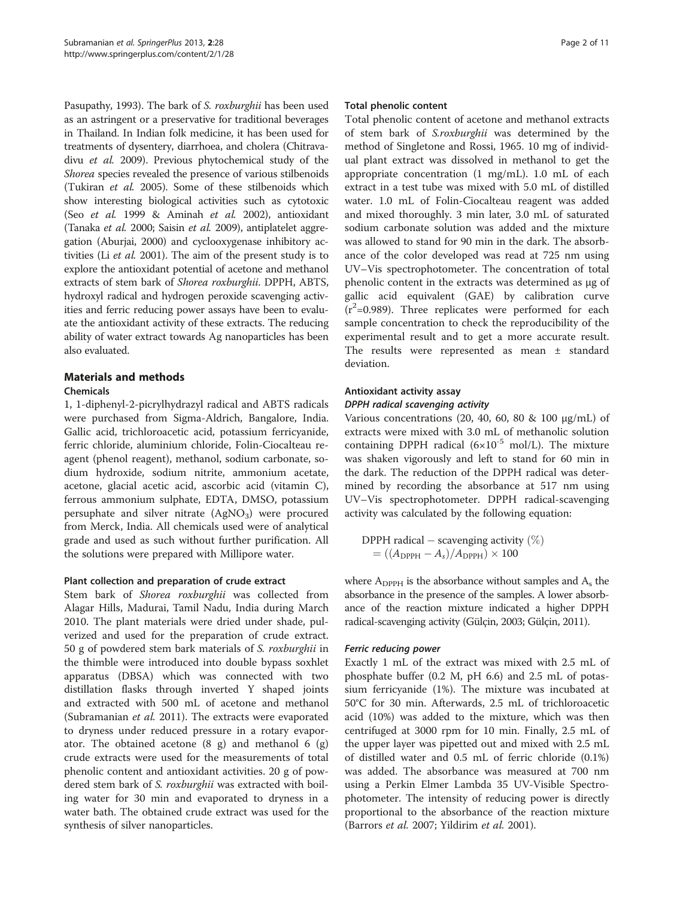Pasupathy, [1993\)](#page-9-0). The bark of S. roxburghii has been used as an astringent or a preservative for traditional beverages in Thailand. In Indian folk medicine, it has been used for treatments of dysentery, diarrhoea, and cholera (Chitravadivu et al. [2009\)](#page-9-0). Previous phytochemical study of the Shorea species revealed the presence of various stilbenoids (Tukiran et al. [2005](#page-10-0)). Some of these stilbenoids which show interesting biological activities such as cytotoxic (Seo et al. [1999](#page-9-0) & Aminah et al. [2002](#page-8-0)), antioxidant (Tanaka et al. [2000;](#page-10-0) Saisin et al. [2009\)](#page-9-0), antiplatelet aggregation (Aburjai, [2000](#page-8-0)) and cyclooxygenase inhibitory activities (Li et al. [2001\)](#page-9-0). The aim of the present study is to explore the antioxidant potential of acetone and methanol extracts of stem bark of Shorea roxburghii. DPPH, ABTS, hydroxyl radical and hydrogen peroxide scavenging activities and ferric reducing power assays have been to evaluate the antioxidant activity of these extracts. The reducing ability of water extract towards Ag nanoparticles has been also evaluated.

## Materials and methods

## Chemicals

1, 1-diphenyl-2-picrylhydrazyl radical and ABTS radicals were purchased from Sigma-Aldrich, Bangalore, India. Gallic acid, trichloroacetic acid, potassium ferricyanide, ferric chloride, aluminium chloride, Folin-Ciocalteau reagent (phenol reagent), methanol, sodium carbonate, sodium hydroxide, sodium nitrite, ammonium acetate, acetone, glacial acetic acid, ascorbic acid (vitamin C), ferrous ammonium sulphate, EDTA, DMSO, potassium persuphate and silver nitrate  $(AgNO<sub>3</sub>)$  were procured from Merck, India. All chemicals used were of analytical grade and used as such without further purification. All the solutions were prepared with Millipore water.

## Plant collection and preparation of crude extract

Stem bark of Shorea roxburghii was collected from Alagar Hills, Madurai, Tamil Nadu, India during March 2010. The plant materials were dried under shade, pulverized and used for the preparation of crude extract. 50 g of powdered stem bark materials of S. roxburghii in the thimble were introduced into double bypass soxhlet apparatus (DBSA) which was connected with two distillation flasks through inverted Y shaped joints and extracted with 500 mL of acetone and methanol (Subramanian et al. [2011](#page-9-0)). The extracts were evaporated to dryness under reduced pressure in a rotary evaporator. The obtained acetone (8 g) and methanol 6 (g) crude extracts were used for the measurements of total phenolic content and antioxidant activities. 20 g of powdered stem bark of *S. roxburghii* was extracted with boiling water for 30 min and evaporated to dryness in a water bath. The obtained crude extract was used for the synthesis of silver nanoparticles.

## Total phenolic content

Total phenolic content of acetone and methanol extracts of stem bark of S.roxburghii was determined by the method of Singletone and Rossi, [1965](#page-9-0). 10 mg of individual plant extract was dissolved in methanol to get the appropriate concentration (1 mg/mL). 1.0 mL of each extract in a test tube was mixed with 5.0 mL of distilled water. 1.0 mL of Folin-Ciocalteau reagent was added and mixed thoroughly. 3 min later, 3.0 mL of saturated sodium carbonate solution was added and the mixture was allowed to stand for 90 min in the dark. The absorbance of the color developed was read at 725 nm using UV–Vis spectrophotometer. The concentration of total phenolic content in the extracts was determined as μg of gallic acid equivalent (GAE) by calibration curve  $(r^2=0.989)$ . Three replicates were performed for each sample concentration to check the reproducibility of the experimental result and to get a more accurate result. The results were represented as mean ± standard deviation.

## Antioxidant activity assay

## DPPH radical scavenging activity

Various concentrations (20, 40, 60, 80 & 100 μg/mL) of extracts were mixed with 3.0 mL of methanolic solution containing DPPH radical  $(6\times10^{-5} \text{ mol/L})$ . The mixture was shaken vigorously and left to stand for 60 min in the dark. The reduction of the DPPH radical was determined by recording the absorbance at 517 nm using UV–Vis spectrophotometer. DPPH radical-scavenging activity was calculated by the following equation:

$$
DPPH \text{ radical} - \text{scavenging activity } (\%)
$$
  
= ((A<sub>DPPH</sub> - A<sub>s</sub>)/A<sub>DPPH</sub>) × 100

where  $A_{\text{DPPH}}$  is the absorbance without samples and  $A_s$  the absorbance in the presence of the samples. A lower absorbance of the reaction mixture indicated a higher DPPH radical-scavenging activity (Gülçin, [2003;](#page-9-0) Gülçin, [2011](#page-9-0)).

## Ferric reducing power

Exactly 1 mL of the extract was mixed with 2.5 mL of phosphate buffer (0.2 M, pH 6.6) and 2.5 mL of potassium ferricyanide (1%). The mixture was incubated at 50°C for 30 min. Afterwards, 2.5 mL of trichloroacetic acid (10%) was added to the mixture, which was then centrifuged at 3000 rpm for 10 min. Finally, 2.5 mL of the upper layer was pipetted out and mixed with 2.5 mL of distilled water and 0.5 mL of ferric chloride (0.1%) was added. The absorbance was measured at 700 nm using a Perkin Elmer Lambda 35 UV-Visible Spectrophotometer. The intensity of reducing power is directly proportional to the absorbance of the reaction mixture (Barrors et al. [2007](#page-8-0); Yildirim et al. [2001\)](#page-10-0).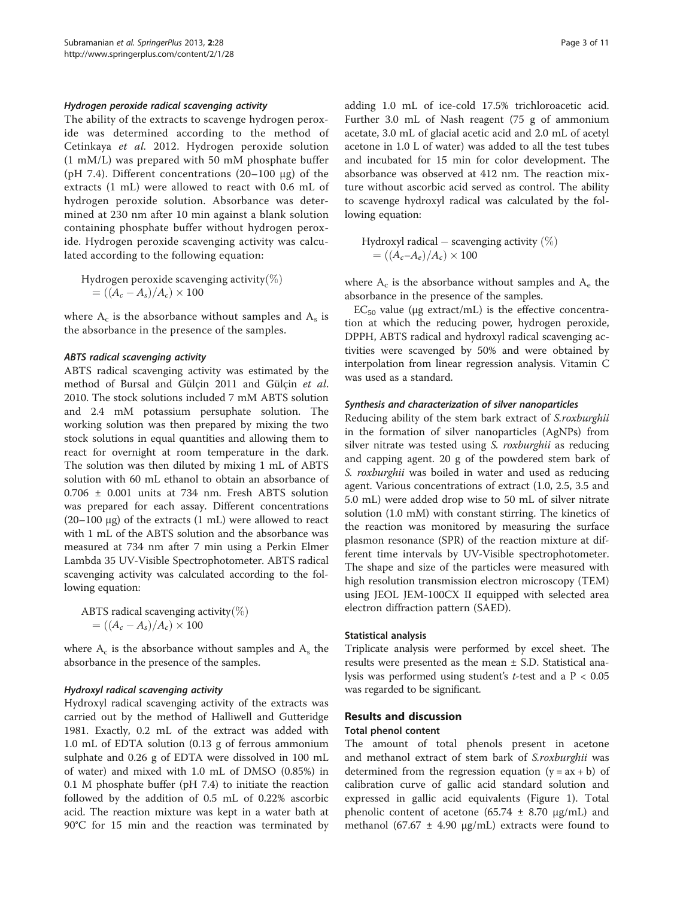#### Hydrogen peroxide radical scavenging activity

The ability of the extracts to scavenge hydrogen peroxide was determined according to the method of Cetinkaya et al. [2012](#page-9-0). Hydrogen peroxide solution (1 mM/L) was prepared with 50 mM phosphate buffer (pH 7.4). Different concentrations  $(20-100 \mu g)$  of the extracts (1 mL) were allowed to react with 0.6 mL of hydrogen peroxide solution. Absorbance was determined at 230 nm after 10 min against a blank solution containing phosphate buffer without hydrogen peroxide. Hydrogen peroxide scavenging activity was calculated according to the following equation:

Hydrogen peroxide scavenging activity $(\%)$  $= ((A_c - A_s)/A_c) \times 100$ 

where  $A_c$  is the absorbance without samples and  $A_s$  is the absorbance in the presence of the samples.

#### ABTS radical scavenging activity

ABTS radical scavenging activity was estimated by the method of Bursal and Gülçin [2011](#page-8-0) and Gülçin et al. [2010](#page-9-0). The stock solutions included 7 mM ABTS solution and 2.4 mM potassium persuphate solution. The working solution was then prepared by mixing the two stock solutions in equal quantities and allowing them to react for overnight at room temperature in the dark. The solution was then diluted by mixing 1 mL of ABTS solution with 60 mL ethanol to obtain an absorbance of 0.706 ± 0.001 units at 734 nm. Fresh ABTS solution was prepared for each assay. Different concentrations  $(20-100 \mu g)$  of the extracts  $(1 \mu L)$  were allowed to react with 1 mL of the ABTS solution and the absorbance was measured at 734 nm after 7 min using a Perkin Elmer Lambda 35 UV-Visible Spectrophotometer. ABTS radical scavenging activity was calculated according to the following equation:

ABTS radical scavenging activity $(\%)$  $= ((A_c - A_s)/A_c) \times 100$ 

where  $A_c$  is the absorbance without samples and  $A_s$  the absorbance in the presence of the samples.

## Hydroxyl radical scavenging activity

Hydroxyl radical scavenging activity of the extracts was carried out by the method of Halliwell and Gutteridge [1981](#page-9-0). Exactly, 0.2 mL of the extract was added with 1.0 mL of EDTA solution (0.13 g of ferrous ammonium sulphate and 0.26 g of EDTA were dissolved in 100 mL of water) and mixed with 1.0 mL of DMSO (0.85%) in 0.1 M phosphate buffer (pH 7.4) to initiate the reaction followed by the addition of 0.5 mL of 0.22% ascorbic acid. The reaction mixture was kept in a water bath at 90°C for 15 min and the reaction was terminated by

adding 1.0 mL of ice-cold 17.5% trichloroacetic acid. Further 3.0 mL of Nash reagent (75 g of ammonium acetate, 3.0 mL of glacial acetic acid and 2.0 mL of acetyl acetone in 1.0 L of water) was added to all the test tubes and incubated for 15 min for color development. The absorbance was observed at 412 nm. The reaction mixture without ascorbic acid served as control. The ability to scavenge hydroxyl radical was calculated by the following equation:

Hydroxyl radical  $-$  scavenging activity  $(\%)$  $= ((A_c - A_e)/A_c) \times 100$ 

where  $A_c$  is the absorbance without samples and  $A_e$  the absorbance in the presence of the samples.

 $EC_{50}$  value (μg extract/mL) is the effective concentration at which the reducing power, hydrogen peroxide, DPPH, ABTS radical and hydroxyl radical scavenging activities were scavenged by 50% and were obtained by interpolation from linear regression analysis. Vitamin C was used as a standard.

#### Synthesis and characterization of silver nanoparticles

Reducing ability of the stem bark extract of S.roxburghii in the formation of silver nanoparticles (AgNPs) from silver nitrate was tested using S. roxburghii as reducing and capping agent. 20 g of the powdered stem bark of S. roxburghii was boiled in water and used as reducing agent. Various concentrations of extract (1.0, 2.5, 3.5 and 5.0 mL) were added drop wise to 50 mL of silver nitrate solution (1.0 mM) with constant stirring. The kinetics of the reaction was monitored by measuring the surface plasmon resonance (SPR) of the reaction mixture at different time intervals by UV-Visible spectrophotometer. The shape and size of the particles were measured with high resolution transmission electron microscopy (TEM) using JEOL JEM-100CX II equipped with selected area electron diffraction pattern (SAED).

## Statistical analysis

Triplicate analysis were performed by excel sheet. The results were presented as the mean  $\pm$  S.D. Statistical analysis was performed using student's *t*-test and a  $P < 0.05$ was regarded to be significant.

#### Results and discussion

#### Total phenol content

The amount of total phenols present in acetone and methanol extract of stem bark of S.roxburghii was determined from the regression equation  $(y = ax + b)$  of calibration curve of gallic acid standard solution and expressed in gallic acid equivalents (Figure [1\)](#page-3-0). Total phenolic content of acetone (65.74  $\pm$  8.70 μg/mL) and methanol (67.67  $\pm$  4.90  $\mu$ g/mL) extracts were found to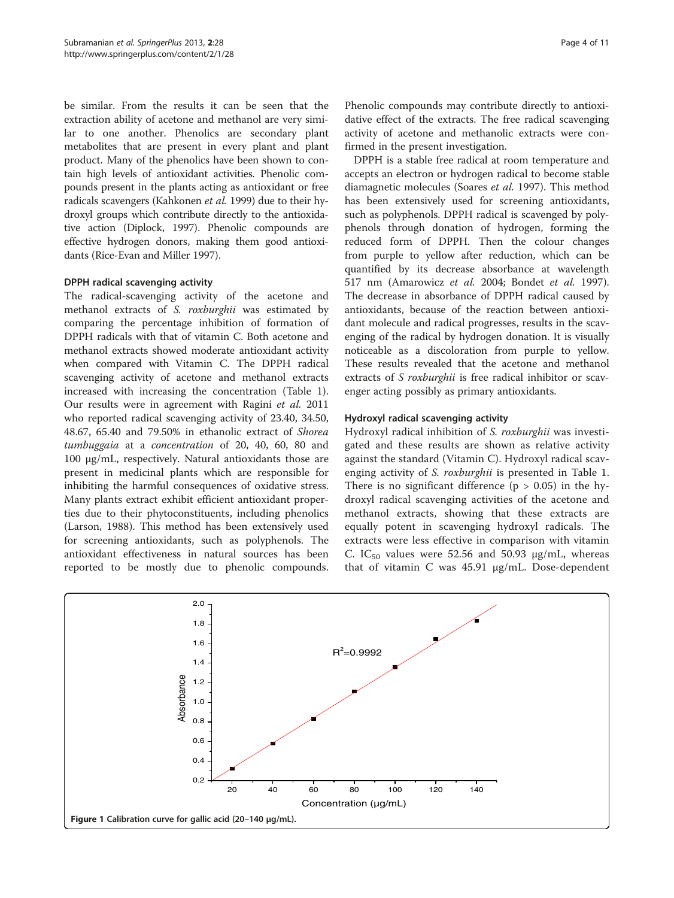<span id="page-3-0"></span>be similar. From the results it can be seen that the extraction ability of acetone and methanol are very similar to one another. Phenolics are secondary plant metabolites that are present in every plant and plant product. Many of the phenolics have been shown to contain high levels of antioxidant activities. Phenolic compounds present in the plants acting as antioxidant or free radicals scavengers (Kahkonen et al. [1999](#page-9-0)) due to their hydroxyl groups which contribute directly to the antioxidative action (Diplock, [1997](#page-9-0)). Phenolic compounds are effective hydrogen donors, making them good antioxidants (Rice-Evan and Miller [1997\)](#page-9-0).

## DPPH radical scavenging activity

The radical-scavenging activity of the acetone and methanol extracts of S. roxburghii was estimated by comparing the percentage inhibition of formation of DPPH radicals with that of vitamin C. Both acetone and methanol extracts showed moderate antioxidant activity when compared with Vitamin C. The DPPH radical scavenging activity of acetone and methanol extracts increased with increasing the concentration (Table [1](#page-4-0)). Our results were in agreement with Ragini et al. [2011](#page-9-0) who reported radical scavenging activity of 23.40, 34.50, 48.67, 65.40 and 79.50% in ethanolic extract of Shorea tumbuggaia at a concentration of 20, 40, 60, 80 and 100 μg/mL, respectively. Natural antioxidants those are present in medicinal plants which are responsible for inhibiting the harmful consequences of oxidative stress. Many plants extract exhibit efficient antioxidant properties due to their phytoconstituents, including phenolics (Larson, [1988](#page-9-0)). This method has been extensively used for screening antioxidants, such as polyphenols. The antioxidant effectiveness in natural sources has been reported to be mostly due to phenolic compounds. Phenolic compounds may contribute directly to antioxidative effect of the extracts. The free radical scavenging activity of acetone and methanolic extracts were confirmed in the present investigation.

DPPH is a stable free radical at room temperature and accepts an electron or hydrogen radical to become stable diamagnetic molecules (Soares et al. [1997](#page-9-0)). This method has been extensively used for screening antioxidants, such as polyphenols. DPPH radical is scavenged by polyphenols through donation of hydrogen, forming the reduced form of DPPH. Then the colour changes from purple to yellow after reduction, which can be quantified by its decrease absorbance at wavelength 517 nm (Amarowicz et al. [2004;](#page-8-0) Bondet et al. [1997](#page-8-0)). The decrease in absorbance of DPPH radical caused by antioxidants, because of the reaction between antioxidant molecule and radical progresses, results in the scavenging of the radical by hydrogen donation. It is visually noticeable as a discoloration from purple to yellow. These results revealed that the acetone and methanol extracts of S roxburghii is free radical inhibitor or scavenger acting possibly as primary antioxidants.

#### Hydroxyl radical scavenging activity

Hydroxyl radical inhibition of S. roxburghii was investigated and these results are shown as relative activity against the standard (Vitamin C). Hydroxyl radical scavenging activity of *S. roxburghii* is presented in Table [1](#page-4-0). There is no significant difference ( $p > 0.05$ ) in the hydroxyl radical scavenging activities of the acetone and methanol extracts, showing that these extracts are equally potent in scavenging hydroxyl radicals. The extracts were less effective in comparison with vitamin C. IC<sub>50</sub> values were 52.56 and 50.93  $\mu$ g/mL, whereas that of vitamin C was 45.91 μg/mL. Dose-dependent

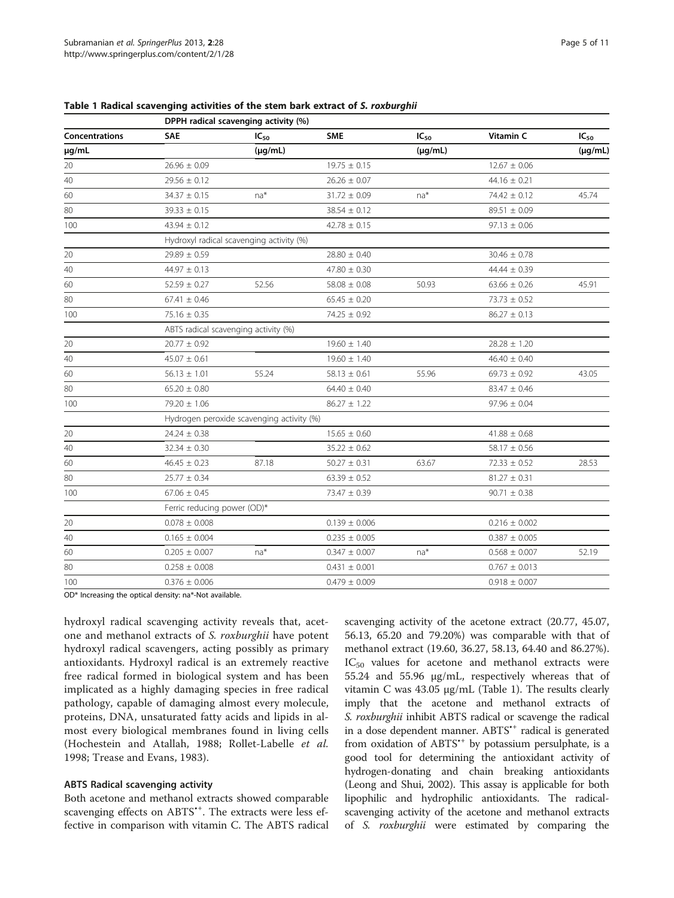| <b>Concentrations</b> | DPPH radical scavenging activity (%)      |              |                   |              |                   |              |
|-----------------------|-------------------------------------------|--------------|-------------------|--------------|-------------------|--------------|
|                       | <b>SAE</b>                                | $IC_{50}$    | <b>SME</b>        | $IC_{50}$    | Vitamin C         | $IC_{50}$    |
| $\mu$ g/mL            |                                           | $(\mu g/mL)$ |                   | $(\mu q/mL)$ |                   | $(\mu q/mL)$ |
| 20                    | $26.96 \pm 0.09$                          |              | $19.75 \pm 0.15$  |              | $12.67 \pm 0.06$  |              |
| 40                    | $29.56 \pm 0.12$                          |              | $26.26 \pm 0.07$  |              | $44.16 \pm 0.21$  |              |
| 60                    | $34.37 \pm 0.15$                          | $na*$        | $31.72 \pm 0.09$  | $na^*$       | $74.42 \pm 0.12$  | 45.74        |
| 80                    | $39.33 \pm 0.15$                          |              | $38.54 \pm 0.12$  |              | $89.51 \pm 0.09$  |              |
| 100                   | $43.94 \pm 0.12$                          |              | $42.78 \pm 0.15$  |              | $97.13 \pm 0.06$  |              |
|                       | Hydroxyl radical scavenging activity (%)  |              |                   |              |                   |              |
| 20                    | $29.89 \pm 0.59$                          |              | $28.80 \pm 0.40$  |              | $30.46 \pm 0.78$  |              |
| 40                    | $44.97 \pm 0.13$                          |              | $47.80 \pm 0.30$  |              | $44.44 \pm 0.39$  |              |
| 60                    | $52.59 \pm 0.27$                          | 52.56        | $58.08 \pm 0.08$  | 50.93        | $63.66 \pm 0.26$  | 45.91        |
| 80                    | $67.41 \pm 0.46$                          |              | $65.45 \pm 0.20$  |              | $73.73 \pm 0.52$  |              |
| 100                   | $75.16 \pm 0.35$                          |              | $74.25 \pm 0.92$  |              | $86.27 \pm 0.13$  |              |
|                       | ABTS radical scavenging activity (%)      |              |                   |              |                   |              |
| 20                    | $20.77 \pm 0.92$                          |              | $19.60 \pm 1.40$  |              | $28.28 \pm 1.20$  |              |
| 40                    | $45.07 \pm 0.61$                          |              | $19.60 \pm 1.40$  |              | $46.40 \pm 0.40$  |              |
| 60                    | $56.13 \pm 1.01$                          | 55.24        | $58.13 \pm 0.61$  | 55.96        | $69.73 \pm 0.92$  | 43.05        |
| 80                    | $65.20 \pm 0.80$                          |              | $64.40 \pm 0.40$  |              | $83.47 \pm 0.46$  |              |
| 100                   | $79.20 \pm 1.06$                          |              | $86.27 \pm 1.22$  |              | $97.96 \pm 0.04$  |              |
|                       | Hydrogen peroxide scavenging activity (%) |              |                   |              |                   |              |
| 20                    | $24.24 \pm 0.38$                          |              | $15.65 \pm 0.60$  |              | $41.88 \pm 0.68$  |              |
| 40                    | $32.34 \pm 0.30$                          |              | $35.22 \pm 0.62$  |              | $58.17 \pm 0.56$  |              |
| 60                    | $46.45 \pm 0.23$                          | 87.18        | $50.27 \pm 0.31$  | 63.67        | $72.33 \pm 0.52$  | 28.53        |
| 80                    | $25.77 \pm 0.34$                          |              | $63.39 \pm 0.52$  |              | $81.27 \pm 0.31$  |              |
| 100                   | $67.06 \pm 0.45$                          |              | $73.47 \pm 0.39$  |              | $90.71 \pm 0.38$  |              |
|                       | Ferric reducing power (OD)*               |              |                   |              |                   |              |
| 20                    | $0.078 \pm 0.008$                         |              | $0.139 \pm 0.006$ |              | $0.216 \pm 0.002$ |              |
| 40                    | $0.165 \pm 0.004$                         |              | $0.235 \pm 0.005$ |              | $0.387 \pm 0.005$ |              |
| 60                    | $0.205 \pm 0.007$                         | $na*$        | $0.347 \pm 0.007$ | $na*$        | $0.568 \pm 0.007$ | 52.19        |
| 80                    | $0.258 \pm 0.008$                         |              | $0.431 \pm 0.001$ |              | $0.767 \pm 0.013$ |              |
| 100                   | $0.376 \pm 0.006$                         |              | $0.479 \pm 0.009$ |              | $0.918 \pm 0.007$ |              |
|                       |                                           |              |                   |              |                   |              |

<span id="page-4-0"></span>Table 1 Radical scavenging activities of the stem bark extract of S. roxburghii

OD\* Increasing the optical density: na\*-Not available.

hydroxyl radical scavenging activity reveals that, acetone and methanol extracts of S. roxburghii have potent hydroxyl radical scavengers, acting possibly as primary antioxidants. Hydroxyl radical is an extremely reactive free radical formed in biological system and has been implicated as a highly damaging species in free radical pathology, capable of damaging almost every molecule, proteins, DNA, unsaturated fatty acids and lipids in almost every biological membranes found in living cells (Hochestein and Atallah, [1988;](#page-9-0) Rollet-Labelle et al. [1998;](#page-9-0) Trease and Evans, [1983](#page-10-0)).

## ABTS Radical scavenging activity

Both acetone and methanol extracts showed comparable scavenging effects on ABTS<sup>\*\*</sup>. The extracts were less effective in comparison with vitamin C. The ABTS radical scavenging activity of the acetone extract (20.77, 45.07, 56.13, 65.20 and 79.20%) was comparable with that of methanol extract (19.60, 36.27, 58.13, 64.40 and 86.27%).  $IC_{50}$  values for acetone and methanol extracts were 55.24 and 55.96 μg/mL, respectively whereas that of vitamin C was  $43.05 \mu g/mL$  (Table 1). The results clearly imply that the acetone and methanol extracts of S. roxburghii inhibit ABTS radical or scavenge the radical in a dose dependent manner. ABTS<sup>\*+</sup> radical is generated from oxidation of ABTS<sup>\*+</sup> by potassium persulphate, is a good tool for determining the antioxidant activity of hydrogen-donating and chain breaking antioxidants (Leong and Shui, [2002](#page-9-0)). This assay is applicable for both lipophilic and hydrophilic antioxidants. The radicalscavenging activity of the acetone and methanol extracts of S. roxburghii were estimated by comparing the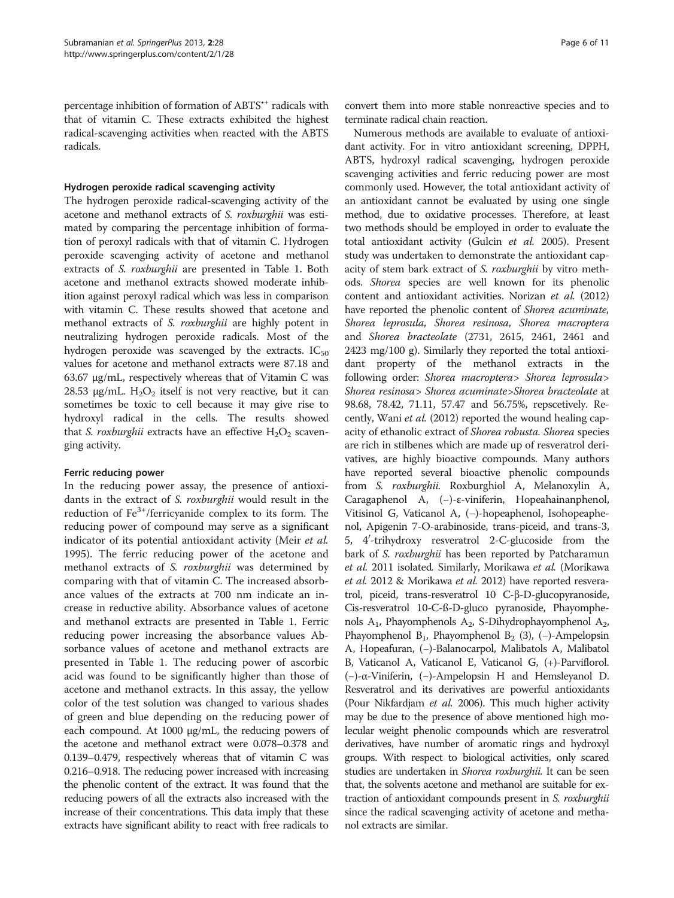percentage inhibition of formation of ABTS<sup>\*+</sup> radicals with that of vitamin C. These extracts exhibited the highest radical-scavenging activities when reacted with the ABTS radicals.

#### Hydrogen peroxide radical scavenging activity

The hydrogen peroxide radical-scavenging activity of the acetone and methanol extracts of S. roxburghii was estimated by comparing the percentage inhibition of formation of peroxyl radicals with that of vitamin C. Hydrogen peroxide scavenging activity of acetone and methanol extracts of S. roxburghii are presented in Table [1.](#page-4-0) Both acetone and methanol extracts showed moderate inhibition against peroxyl radical which was less in comparison with vitamin C. These results showed that acetone and methanol extracts of S. roxburghii are highly potent in neutralizing hydrogen peroxide radicals. Most of the hydrogen peroxide was scavenged by the extracts.  $IC_{50}$ values for acetone and methanol extracts were 87.18 and 63.67 μg/mL, respectively whereas that of Vitamin C was 28.53  $\mu$ g/mL. H<sub>2</sub>O<sub>2</sub> itself is not very reactive, but it can sometimes be toxic to cell because it may give rise to hydroxyl radical in the cells. The results showed that S. roxburghii extracts have an effective  $H_2O_2$  scavenging activity.

#### Ferric reducing power

In the reducing power assay, the presence of antioxidants in the extract of S. roxburghii would result in the reduction of  $Fe<sup>3+</sup>/ferricyanide$  complex to its form. The reducing power of compound may serve as a significant indicator of its potential antioxidant activity (Meir et al. [1995](#page-9-0)). The ferric reducing power of the acetone and methanol extracts of S. roxburghii was determined by comparing with that of vitamin C. The increased absorbance values of the extracts at 700 nm indicate an increase in reductive ability. Absorbance values of acetone and methanol extracts are presented in Table [1](#page-4-0). Ferric reducing power increasing the absorbance values Absorbance values of acetone and methanol extracts are presented in Table [1.](#page-4-0) The reducing power of ascorbic acid was found to be significantly higher than those of acetone and methanol extracts. In this assay, the yellow color of the test solution was changed to various shades of green and blue depending on the reducing power of each compound. At 1000 μg/mL, the reducing powers of the acetone and methanol extract were 0.078–0.378 and 0.139–0.479, respectively whereas that of vitamin C was 0.216–0.918. The reducing power increased with increasing the phenolic content of the extract. It was found that the reducing powers of all the extracts also increased with the increase of their concentrations. This data imply that these extracts have significant ability to react with free radicals to convert them into more stable nonreactive species and to terminate radical chain reaction.

Numerous methods are available to evaluate of antioxidant activity. For in vitro antioxidant screening, DPPH, ABTS, hydroxyl radical scavenging, hydrogen peroxide scavenging activities and ferric reducing power are most commonly used. However, the total antioxidant activity of an antioxidant cannot be evaluated by using one single method, due to oxidative processes. Therefore, at least two methods should be employed in order to evaluate the total antioxidant activity (Gulcin et al. [2005\)](#page-9-0). Present study was undertaken to demonstrate the antioxidant capacity of stem bark extract of S. roxburghii by vitro methods. Shorea species are well known for its phenolic content and antioxidant activities. Norizan et al. [\(2012](#page-9-0)) have reported the phenolic content of Shorea acuminate, Shorea leprosula, Shorea resinosa, Shorea macroptera and Shorea bracteolate (2731, 2615, 2461, 2461 and 2423 mg/100 g). Similarly they reported the total antioxidant property of the methanol extracts in the following order: Shorea macroptera> Shorea leprosula> Shorea resinosa> Shorea acuminate>Shorea bracteolate at 98.68, 78.42, 71.11, 57.47 and 56.75%, repscetively. Recently, Wani et al. [\(2012](#page-10-0)) reported the wound healing capacity of ethanolic extract of Shorea robusta. Shorea species are rich in stilbenes which are made up of resveratrol derivatives, are highly bioactive compounds. Many authors have reported several bioactive phenolic compounds from S. roxburghii. Roxburghiol A, Melanoxylin A, Caragaphenol A, (−)-ε-viniferin, Hopeahainanphenol, Vitisinol G, Vaticanol A, (−)-hopeaphenol, Isohopeaphenol, Apigenin 7-O-arabinoside, trans-piceid, and trans-3, 5, 4'-trihydroxy resveratrol 2-C-glucoside from the bark of S. roxburghii has been reported by Patcharamun et al. [2011](#page-9-0) isolated. Similarly, Morikawa et al. (Morikawa et al. [2012](#page-9-0) & Morikawa et al. [2012](#page-9-0)) have reported resveratrol, piceid, trans-resveratrol 10 C-β-D-glucopyranoside, Cis-resveratrol 10-C-ß-D-gluco pyranoside, Phayomphenols  $A_1$ , Phayomphenols  $A_2$ , S-Dihydrophayomphenol  $A_2$ , Phayomphenol B<sub>1</sub>, Phayomphenol B<sub>2</sub> (3), (-)-Ampelopsin A, Hopeafuran, (−)-Balanocarpol, Malibatols A, Malibatol B, Vaticanol A, Vaticanol E, Vaticanol G, (+)-Parviflorol. (−)-α-Viniferin, (−)-Ampelopsin H and Hemsleyanol D. Resveratrol and its derivatives are powerful antioxidants (Pour Nikfardjam et al. [2006\)](#page-9-0). This much higher activity may be due to the presence of above mentioned high molecular weight phenolic compounds which are resveratrol derivatives, have number of aromatic rings and hydroxyl groups. With respect to biological activities, only scared studies are undertaken in Shorea roxburghii. It can be seen that, the solvents acetone and methanol are suitable for extraction of antioxidant compounds present in S. roxburghii since the radical scavenging activity of acetone and methanol extracts are similar.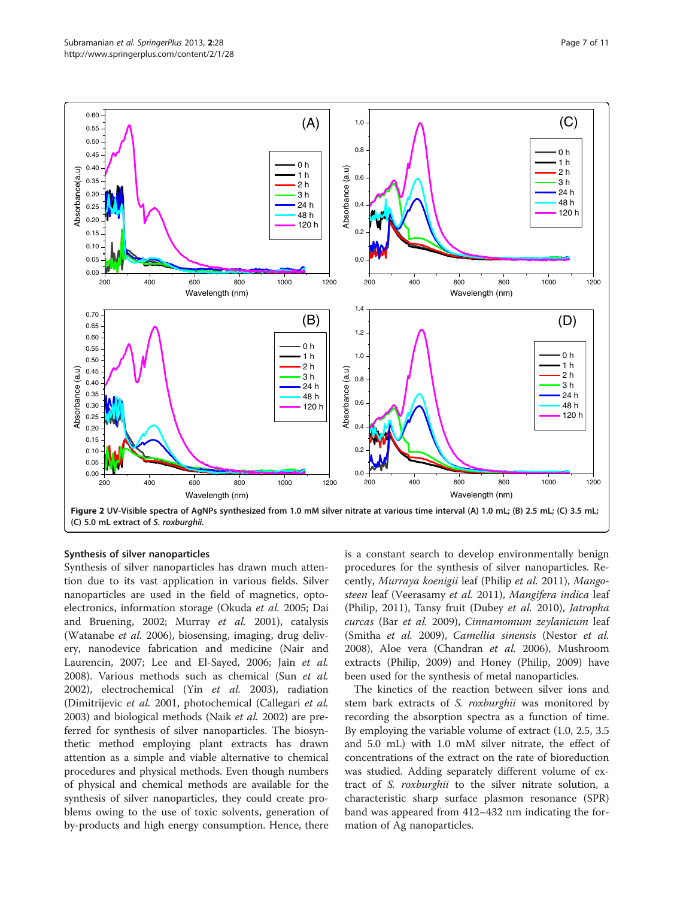<span id="page-6-0"></span>

Figure 2 UV-Visible spectra of AgNPs synthesized from 1.0 mM silver nitrate at various time interval (A) 1.0 mL; (B) 2.5 mL; (C) 3.5 mL; (C) 5.0 mL extract of S. roxburghii.

#### Synthesis of silver nanoparticles

Synthesis of silver nanoparticles has drawn much attention due to its vast application in various fields. Silver nanoparticles are used in the field of magnetics, optoelectronics, information storage (Okuda et al. [2005;](#page-9-0) Dai and Bruening, [2002;](#page-9-0) Murray et al. [2001\)](#page-9-0), catalysis (Watanabe et al. [2006\)](#page-10-0), biosensing, imaging, drug delivery, nanodevice fabrication and medicine (Nair and Laurencin, [2007;](#page-9-0) Lee and El-Sayed, [2006;](#page-9-0) Jain et al. [2008](#page-9-0)). Various methods such as chemical (Sun et al. [2002](#page-10-0)), electrochemical (Yin et al. [2003\)](#page-10-0), radiation (Dimitrijevic et al. [2001,](#page-9-0) photochemical (Callegari et al. [2003](#page-9-0)) and biological methods (Naik et al. [2002](#page-9-0)) are preferred for synthesis of silver nanoparticles. The biosynthetic method employing plant extracts has drawn attention as a simple and viable alternative to chemical procedures and physical methods. Even though numbers of physical and chemical methods are available for the synthesis of silver nanoparticles, they could create problems owing to the use of toxic solvents, generation of by-products and high energy consumption. Hence, there is a constant search to develop environmentally benign procedures for the synthesis of silver nanoparticles. Recently, Murraya koenigii leaf (Philip et al. [2011\)](#page-9-0), Mangosteen leaf (Veerasamy et al. [2011](#page-10-0)), Mangifera indica leaf (Philip, [2011](#page-9-0)), Tansy fruit (Dubey et al. [2010](#page-9-0)), Jatropha curcas (Bar et al. [2009\)](#page-8-0), Cinnamomum zeylanicum leaf (Smitha et al. [2009\)](#page-9-0), Camellia sinensis (Nestor et al. [2008](#page-9-0)), Aloe vera (Chandran et al. [2006\)](#page-9-0), Mushroom extracts (Philip, [2009](#page-9-0)) and Honey (Philip, [2009](#page-9-0)) have been used for the synthesis of metal nanoparticles.

The kinetics of the reaction between silver ions and stem bark extracts of *S. roxburghii* was monitored by recording the absorption spectra as a function of time. By employing the variable volume of extract (1.0, 2.5, 3.5 and 5.0 mL) with 1.0 mM silver nitrate, the effect of concentrations of the extract on the rate of bioreduction was studied. Adding separately different volume of extract of S. roxburghii to the silver nitrate solution, a characteristic sharp surface plasmon resonance (SPR) band was appeared from 412–432 nm indicating the formation of Ag nanoparticles.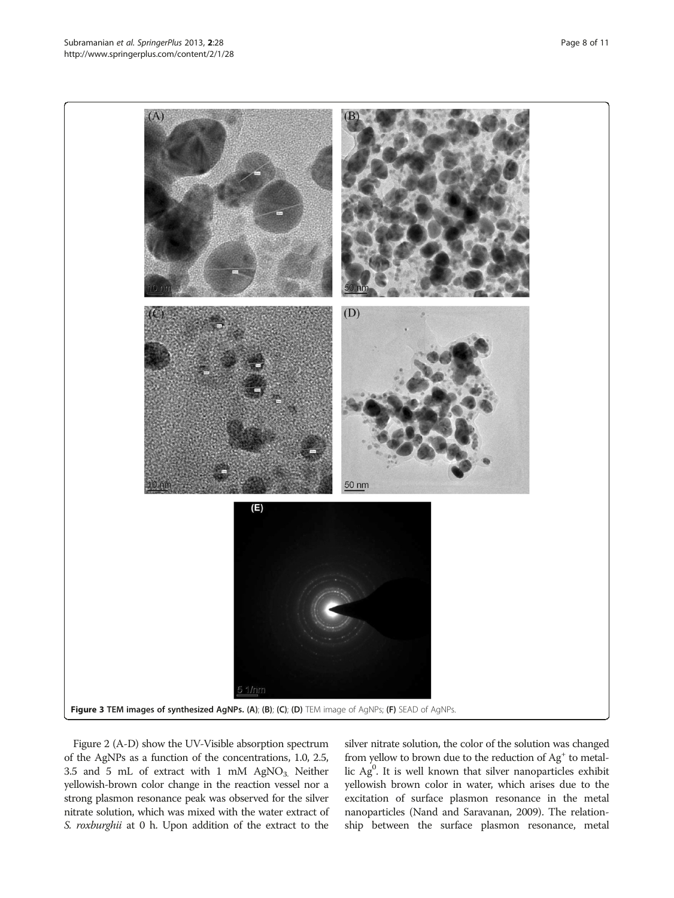<span id="page-7-0"></span>

Figure [2](#page-6-0) (A-D) show the UV-Visible absorption spectrum of the AgNPs as a function of the concentrations, 1.0, 2.5, 3.5 and 5 mL of extract with 1 mM  $AgNO<sub>3</sub>$ . Neither yellowish-brown color change in the reaction vessel nor a strong plasmon resonance peak was observed for the silver nitrate solution, which was mixed with the water extract of S. roxburghii at 0 h. Upon addition of the extract to the

silver nitrate solution, the color of the solution was changed from yellow to brown due to the reduction of Ag<sup>+</sup> to metallic Ag<sup>0</sup>. It is well known that silver nanoparticles exhibit yellowish brown color in water, which arises due to the excitation of surface plasmon resonance in the metal nanoparticles (Nand and Saravanan, [2009\)](#page-9-0). The relationship between the surface plasmon resonance, metal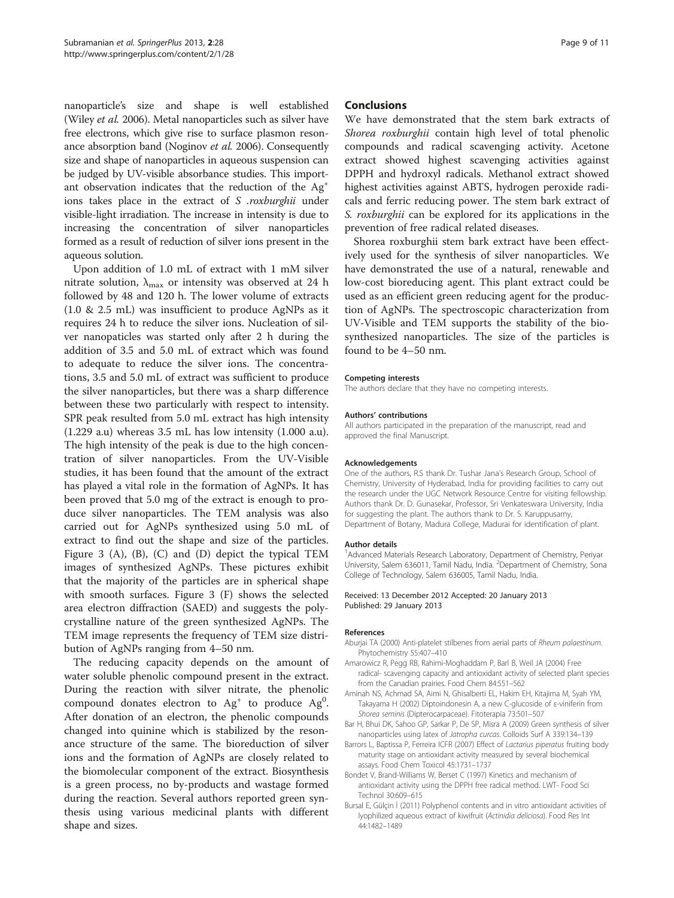<span id="page-8-0"></span>nanoparticle's size and shape is well established (Wiley et al. [2006](#page-10-0)). Metal nanoparticles such as silver have free electrons, which give rise to surface plasmon resonance absorption band (Noginov et al. [2006\)](#page-9-0). Consequently size and shape of nanoparticles in aqueous suspension can be judged by UV-visible absorbance studies. This important observation indicates that the reduction of the Ag+ ions takes place in the extract of S .roxburghii under visible-light irradiation. The increase in intensity is due to increasing the concentration of silver nanoparticles formed as a result of reduction of silver ions present in the aqueous solution.

Upon addition of 1.0 mL of extract with 1 mM silver nitrate solution,  $\lambda_{\text{max}}$  or intensity was observed at 24 h followed by 48 and 120 h. The lower volume of extracts (1.0 & 2.5 mL) was insufficient to produce AgNPs as it requires 24 h to reduce the silver ions. Nucleation of silver nanopaticles was started only after 2 h during the addition of 3.5 and 5.0 mL of extract which was found to adequate to reduce the silver ions. The concentrations, 3.5 and 5.0 mL of extract was sufficient to produce the silver nanoparticles, but there was a sharp difference between these two particularly with respect to intensity. SPR peak resulted from 5.0 mL extract has high intensity (1.229 a.u) whereas 3.5 mL has low intensity (1.000 a.u). The high intensity of the peak is due to the high concentration of silver nanoparticles. From the UV-Visible studies, it has been found that the amount of the extract has played a vital role in the formation of AgNPs. It has been proved that 5.0 mg of the extract is enough to produce silver nanoparticles. The TEM analysis was also carried out for AgNPs synthesized using 5.0 mL of extract to find out the shape and size of the particles. Figure [3](#page-7-0) (A), (B), (C) and (D) depict the typical TEM images of synthesized AgNPs. These pictures exhibit that the majority of the particles are in spherical shape with smooth surfaces. Figure [3](#page-7-0) (F) shows the selected area electron diffraction (SAED) and suggests the polycrystalline nature of the green synthesized AgNPs. The TEM image represents the frequency of TEM size distribution of AgNPs ranging from 4–50 nm.

The reducing capacity depends on the amount of water soluble phenolic compound present in the extract. During the reaction with silver nitrate, the phenolic compound donates electron to  $Ag<sup>+</sup>$  to produce  $Ag<sup>0</sup>$ . After donation of an electron, the phenolic compounds changed into quinine which is stabilized by the resonance structure of the same. The bioreduction of silver ions and the formation of AgNPs are closely related to the biomolecular component of the extract. Biosynthesis is a green process, no by-products and wastage formed during the reaction. Several authors reported green synthesis using various medicinal plants with different shape and sizes.

#### **Conclusions**

We have demonstrated that the stem bark extracts of Shorea roxburghii contain high level of total phenolic compounds and radical scavenging activity. Acetone extract showed highest scavenging activities against DPPH and hydroxyl radicals. Methanol extract showed highest activities against ABTS, hydrogen peroxide radicals and ferric reducing power. The stem bark extract of S. roxburghii can be explored for its applications in the prevention of free radical related diseases.

Shorea roxburghii stem bark extract have been effectively used for the synthesis of silver nanoparticles. We have demonstrated the use of a natural, renewable and low-cost bioreducing agent. This plant extract could be used as an efficient green reducing agent for the production of AgNPs. The spectroscopic characterization from UV-Visible and TEM supports the stability of the biosynthesized nanoparticles. The size of the particles is found to be 4–50 nm.

#### Competing interests

The authors declare that they have no competing interests.

#### Authors' contributions

All authors participated in the preparation of the manuscript, read and approved the final Manuscript.

#### Acknowledgements

One of the authors, R.S thank Dr. Tushar Jana's Research Group, School of Chemistry, University of Hyderabad, India for providing facilities to carry out the research under the UGC Network Resource Centre for visiting fellowship. Authors thank Dr. D. Gunasekar, Professor, Sri Venkateswara University, India for suggesting the plant. The authors thank to Dr. S. Karuppusamy, Department of Botany, Madura College, Madurai for identification of plant.

#### Author details

<sup>1</sup> Advanced Materials Research Laboratory, Department of Chemistry, Periyar University, Salem 636011, Tamil Nadu, India. <sup>2</sup>Department of Chemistry, Sona College of Technology, Salem 636005, Tamil Nadu, India.

#### Received: 13 December 2012 Accepted: 20 January 2013 Published: 29 January 2013

#### References

- Aburjai TA (2000) Anti-platelet stilbenes from aerial parts of Rheum palaestinum. Phytochemistry 55:407–410
- Amarowicz R, Pegg RB, Rahimi-Moghaddam P, Barl B, Weil JA (2004) Free radical- scavenging capacity and antioxidant activity of selected plant species from the Canadian prairies. Food Chem 84:551–562
- Aminah NS, Achmad SA, Aimi N, Ghisalberti EL, Hakim EH, Kitajima M, Syah YM, Takayama H (2002) Diptoindonesin A, a new C-glucoside of ε-viniferin from Shorea seminis (Dipterocarpaceae). Fitoterapia 73:501–507
- Bar H, Bhui DK, Sahoo GP, Sarkar P, De SP, Misra A (2009) Green synthesis of silver nanoparticles using latex of Jatropha curcas. Colloids Surf A 339:134–139
- Barrors L, Baptissa P, Ferreira ICFR (2007) Effect of Lactarius piperatus fruiting body maturity stage on antioxidant activity measured by several biochemical assays. Food Chem Toxicol 45:1731–1737
- Bondet V, Brand-Williams W, Berset C (1997) Kinetics and mechanism of antioxidant activity using the DPPH free radical method. LWT- Food Sci Technol 30:609–615
- Bursal E, Gülçin İ (2011) Polyphenol contents and in vitro antioxidant activities of lyophilized aqueous extract of kiwifruit (Actinidia deliciosa). Food Res Int 44:1482–1489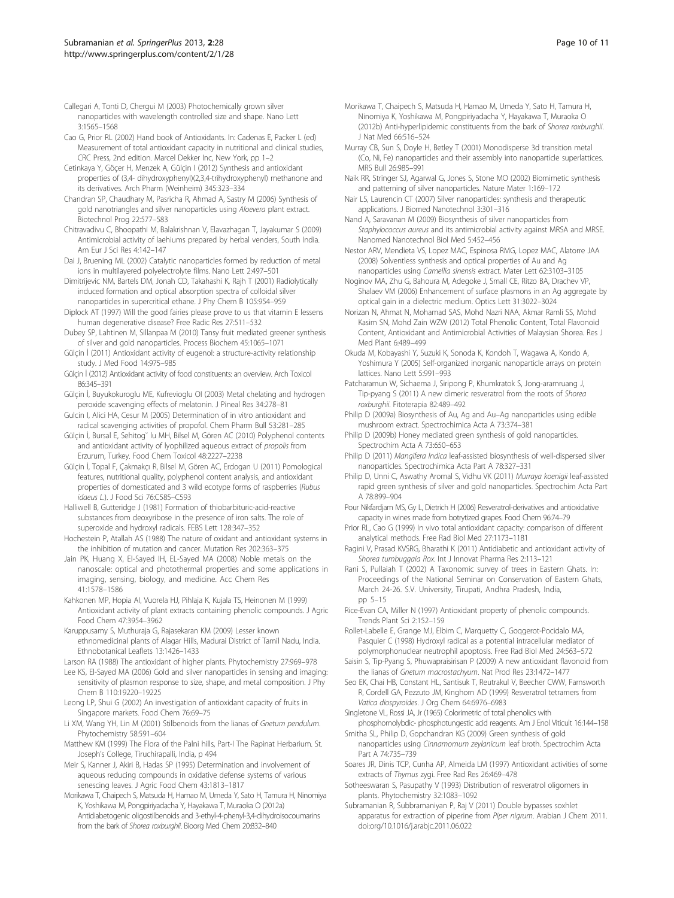- <span id="page-9-0"></span>Callegari A, Tonti D, Chergui M (2003) Photochemically grown silver nanoparticles with wavelength controlled size and shape. Nano Lett 3:1565–1568
- Cao G, Prior RL (2002) Hand book of Antioxidants. In: Cadenas E, Packer L (ed) Measurement of total antioxidant capacity in nutritional and clinical studies, CRC Press, 2nd edition. Marcel Dekker Inc, New York, pp 1–2
- Cetinkaya Y, Göçer H, Menzek A, Gülçin I (2012) Synthesis and antioxidant properties of (3,4- dihydroxyphenyl)(2,3,4-trihydroxyphenyl) methanone and its derivatives. Arch Pharm (Weinheim) 345:323–334
- Chandran SP, Chaudhary M, Pasricha R, Ahmad A, Sastry M (2006) Synthesis of gold nanotriangles and silver nanoparticles using Aloevera plant extract. Biotechnol Prog 22:577–583
- Chitravadivu C, Bhoopathi M, Balakrishnan V, Elavazhagan T, Jayakumar S (2009) Antimicrobial activity of laehiums prepared by herbal venders, South India. Am Eur J Sci Res 4:142–147
- Dai J, Bruening ML (2002) Catalytic nanoparticles formed by reduction of metal ions in multilayered polyelectrolyte films. Nano Lett 2:497–501
- Dimitrijevic NM, Bartels DM, Jonah CD, Takahashi K, Rajh T (2001) Radiolytically induced formation and optical absorption spectra of colloidal silver nanoparticles in supercritical ethane. J Phy Chem B 105:954–959
- Diplock AT (1997) Will the good fairies please prove to us that vitamin E lessens human degenerative disease? Free Radic Res 27:511–532
- Dubey SP, Lahtinen M, Sillanpaa M (2010) Tansy fruit mediated greener synthesis of silver and gold nanoparticles. Process Biochem 45:1065–1071
- Gülçin İ (2011) Antioxidant activity of eugenol: a structure-activity relationship study. J Med Food 14:975–985
- Gülçin İ (2012) Antioxidant activity of food constituents: an overview. Arch Toxicol 86:345–391
- Gülçin İ, Buyukokuroglu ME, Kufrevioglu OI (2003) Metal chelating and hydrogen peroxide scavenging effects of melatonin. J Pineal Res 34:278–81
- Gulcin I, Alici HA, Cesur M (2005) Determination of in vitro antioxidant and radical scavenging activities of propofol. Chem Pharm Bull 53:281–285
- Gülçin İ, Bursal E, Sehitog˘ lu MH, Bilsel M, Gören AC (2010) Polyphenol contents and antioxidant activity of lyophilized aqueous extract of propolis from Erzurum, Turkey. Food Chem Toxicol 48:2227–2238
- Gülçin İ, Topal F, Çakmakçı R, Bilsel M, Gören AC, Erdogan U (2011) Pomological features, nutritional quality, polyphenol content analysis, and antioxidant properties of domesticated and 3 wild ecotype forms of raspberries (Rubus idaeus L.). J Food Sci 76:C585–C593
- Halliwell B, Gutteridge J (1981) Formation of thiobarbituric-acid-reactive substances from deoxyribose in the presence of iron salts. The role of superoxide and hydroxyl radicals. FEBS Lett 128:347–352
- Hochestein P, Atallah AS (1988) The nature of oxidant and antioxidant systems in the inhibition of mutation and cancer. Mutation Res 202:363–375
- Jain PK, Huang X, El-Sayed IH, EL-Sayed MA (2008) Noble metals on the nanoscale: optical and photothermal properties and some applications in imaging, sensing, biology, and medicine. Acc Chem Res 41:1578–1586
- Kahkonen MP, Hopia AI, Vuorela HJ, Pihlaja K, Kujala TS, Heinonen M (1999) Antioxidant activity of plant extracts containing phenolic compounds. J Agric Food Chem 47:3954–3962
- Karuppusamy S, Muthuraja G, Rajasekaran KM (2009) Lesser known ethnomedicinal plants of Alagar Hills, Madurai District of Tamil Nadu, India. Ethnobotanical Leaflets 13:1426–1433
- Larson RA (1988) The antioxidant of higher plants. Phytochemistry 27:969–978
- Lee KS, El-Sayed MA (2006) Gold and silver nanoparticles in sensing and imaging: sensitivity of plasmon response to size, shape, and metal composition. J Phy Chem B 110:19220–19225
- Leong LP, Shui G (2002) An investigation of antioxidant capacity of fruits in Singapore markets. Food Chem 76:69–75
- Li XM, Wang YH, Lin M (2001) Stilbenoids from the lianas of Gnetum pendulum. Phytochemistry 58:591–604
- Matthew KM (1999) The Flora of the Palni hills, Part-I The Rapinat Herbarium. St. Joseph's College, Tiruchirapalli, India, p 494
- Meir S, Kanner J, Akiri B, Hadas SP (1995) Determination and involvement of aqueous reducing compounds in oxidative defense systems of various senescing leaves. J Agric Food Chem 43:1813–1817
- Morikawa T, Chaipech S, Matsuda H, Hamao M, Umeda Y, Sato H, Tamura H, Ninomiya K, Yoshikawa M, Pongpiriyadacha Y, Hayakawa T, Muraoka O (2012a) Antidiabetogenic oligostilbenoids and 3-ethyl-4-phenyl-3,4-dihydroisocoumarins from the bark of Shorea roxburghii. Bioorg Med Chem 20:832–840
- Morikawa T, Chaipech S, Matsuda H, Hamao M, Umeda Y, Sato H, Tamura H, Ninomiya K, Yoshikawa M, Pongpiriyadacha Y, Hayakawa T, Muraoka O (2012b) Anti-hyperlipidemic constituents from the bark of Shorea roxburghii. J Nat Med 66:516–524
- Murray CB, Sun S, Doyle H, Betley T (2001) Monodisperse 3d transition metal (Co, Ni, Fe) nanoparticles and their assembly into nanoparticle superlattices. MRS Bull 26:985–991
- Naik RR, Stringer SJ, Agarwal G, Jones S, Stone MO (2002) Biomimetic synthesis and patterning of silver nanoparticles. Nature Mater 1:169–172
- Nair LS, Laurencin CT (2007) Silver nanoparticles: synthesis and therapeutic applications. J Biomed Nanotechnol 3:301–316
- Nand A, Saravanan M (2009) Biosynthesis of silver nanoparticles from Staphylococcus aureus and its antimicrobial activity against MRSA and MRSE. Nanomed Nanotechnol Biol Med 5:452–456
- Nestor ARV, Mendieta VS, Lopez MAC, Espinosa RMG, Lopez MAC, Alatorre JAA (2008) Solventless synthesis and optical properties of Au and Ag nanoparticles using Camellia sinensis extract. Mater Lett 62:3103–3105
- Noginov MA, Zhu G, Bahoura M, Adegoke J, Small CE, Ritzo BA, Drachev VP, Shalaev VM (2006) Enhancement of surface plasmons in an Ag aggregate by optical gain in a dielectric medium. Optics Lett 31:3022–3024
- Norizan N, Ahmat N, Mohamad SAS, Mohd Nazri NAA, Akmar Ramli SS, Mohd Kasim SN, Mohd Zain WZW (2012) Total Phenolic Content, Total Flavonoid Content, Antioxidant and Antimicrobial Activities of Malaysian Shorea. Res J Med Plant 6:489–499
- Okuda M, Kobayashi Y, Suzuki K, Sonoda K, Kondoh T, Wagawa A, Kondo A, Yoshimura Y (2005) Self-organized inorganic nanoparticle arrays on protein lattices. Nano Lett 5:991–993
- Patcharamun W, Sichaema J, Siripong P, Khumkratok S, Jong-aramruang J, Tip-pyang S (2011) A new dimeric resveratrol from the roots of Shorea roxburghii. Fitoterapia 82:489–492
- Philip D (2009a) Biosynthesis of Au, Ag and Au–Ag nanoparticles using edible mushroom extract. Spectrochimica Acta A 73:374–381
- Philip D (2009b) Honey mediated green synthesis of gold nanoparticles. Spectrochim Acta A 73:650–653
- Philip D (2011) Mangifera Indica leaf-assisted biosynthesis of well-dispersed silver nanoparticles. Spectrochimica Acta Part A 78:327–331
- Philip D, Unni C, Aswathy Aromal S, Vidhu VK (2011) Murraya koenigii leaf-assisted rapid green synthesis of silver and gold nanoparticles. Spectrochim Acta Part A 78:899–904
- Pour Nikfardjam MS, Gy L, Dietrich H (2006) Resveratrol-derivatives and antioxidative capacity in wines made from botrytized grapes. Food Chem 96:74–79
- Prior RL, Cao G (1999) In vivo total antioxidant capacity: comparison of different analytical methods. Free Rad Biol Med 27:1173–1181
- Ragini V, Prasad KVSRG, Bharathi K (2011) Antidiabetic and antioxidant activity of Shorea tumbuggaia Rox. Int J Innovat Pharma Res 2:113–121
- Rani S, Pullaiah T (2002) A Taxonomic survey of trees in Eastern Ghats. In: Proceedings of the National Seminar on Conservation of Eastern Ghats, March 24-26. S.V. University, Tirupati, Andhra Pradesh, India, pp 5–15
- Rice-Evan CA, Miller N (1997) Antioxidant property of phenolic compounds. Trends Plant Sci 2:152–159
- Rollet-Labelle E, Grange MJ, Elbim C, Marquetty C, Goqgerot-Pocidalo MA, Pasquier C (1998) Hydroxyl radical as a potential intracellular mediator of polymorphonuclear neutrophil apoptosis. Free Rad Biol Med 24:563–572
- Saisin S, Tip-Pyang S, Phuwapraisirisan P (2009) A new antioxidant flavonoid from the lianas of Gnetum macrostachyum. Nat Prod Res 23:1472–1477
- Seo EK, Chai HB, Constant HL, Santisuk T, Reutrakul V, Beecher CWW, Farnsworth R, Cordell GA, Pezzuto JM, Kinghorn AD (1999) Resveratrol tetramers from Vatica diospyroides. J Org Chem 64:6976–6983
- Singletone VL, Rossi JA, Jr (1965) Colorimetric of total phenolics with phosphomolybdic- phosphotungestic acid reagents. Am J Enol Viticult 16:144–158 Smitha SL, Philip D, Gopchandran KG (2009) Green synthesis of gold
- nanoparticles using Cinnamomum zeylanicum leaf broth. Spectrochim Acta Part A 74:735–739
- Soares JR, Dinis TCP, Cunha AP, Almeida LM (1997) Antioxidant activities of some extracts of Thymus zygi. Free Rad Res 26:469–478
- Sotheeswaran S, Pasupathy V (1993) Distribution of resveratrol oligomers in plants. Phytochemistry 32:1083–1092
- Subramanian R, Subbramaniyan P, Raj V (2011) Double bypasses soxhlet apparatus for extraction of piperine from Piper nigrum. Arabian J Chem 2011. [doi:org/10.1016/j.arabjc.2011.06.022](http://dx.doi.org/10.1016/j.arabjc.2011.06.022)